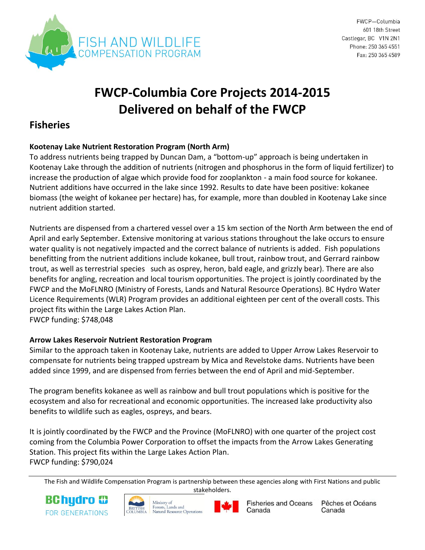

# **FWCP-Columbia Core Projects 2014-2015 Delivered on behalf of the FWCP**

# **Fisheries**

# **Kootenay Lake Nutrient Restoration Program (North Arm)**

To address nutrients being trapped by Duncan Dam, a "bottom-up" approach is being undertaken in Kootenay Lake through the addition of nutrients (nitrogen and phosphorus in the form of liquid fertilizer) to increase the production of algae which provide food for zooplankton - a main food source for kokanee. Nutrient additions have occurred in the lake since 1992. Results to date have been positive: kokanee biomass (the weight of kokanee per hectare) has, for example, more than doubled in Kootenay Lake since nutrient addition started.

Nutrients are dispensed from a chartered vessel over a 15 km section of the North Arm between the end of April and early September. Extensive monitoring at various stations throughout the lake occurs to ensure water quality is not negatively impacted and the correct balance of nutrients is added. Fish populations benefitting from the nutrient additions include kokanee, bull trout, rainbow trout, and Gerrard rainbow trout, as well as terrestrial species such as osprey, heron, bald eagle, and grizzly bear). There are also benefits for angling, recreation and local tourism opportunities. The project is jointly coordinated by the FWCP and the MoFLNRO (Ministry of Forests, Lands and Natural Resource Operations). BC Hydro Water Licence Requirements (WLR) Program provides an additional eighteen per cent of the overall costs. This project fits within the Large Lakes Action Plan. FWCP funding: \$748,048

# **Arrow Lakes Reservoir Nutrient Restoration Program**

Similar to the approach taken in Kootenay Lake, nutrients are added to Upper Arrow Lakes Reservoir to compensate for nutrients being trapped upstream by Mica and Revelstoke dams. Nutrients have been added since 1999, and are dispensed from ferries between the end of April and mid-September.

The program benefits kokanee as well as rainbow and bull trout populations which is positive for the ecosystem and also for recreational and economic opportunities. The increased lake productivity also benefits to wildlife such as eagles, ospreys, and bears.

It is jointly coordinated by the FWCP and the Province (MoFLNRO) with one quarter of the project cost coming from the Columbia Power Corporation to offset the impacts from the Arrow Lakes Generating Station. This project fits within the Large Lakes Action Plan. FWCP funding: \$790,024

The Fish and Wildlife Compensation Program is partnership between these agencies along with First Nations and public stakeholders.









Pêches et Océans Canada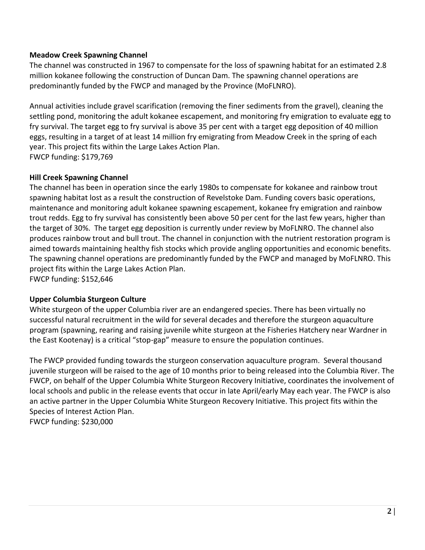#### **Meadow Creek Spawning Channel**

The channel was constructed in 1967 to compensate for the loss of spawning habitat for an estimated 2.8 million kokanee following the construction of Duncan Dam. The spawning channel operations are predominantly funded by the FWCP and managed by the Province (MoFLNRO).

Annual activities include gravel scarification (removing the finer sediments from the gravel), cleaning the settling pond, monitoring the adult kokanee escapement, and monitoring fry emigration to evaluate egg to fry survival. The target egg to fry survival is above 35 per cent with a target egg deposition of 40 million eggs, resulting in a target of at least 14 million fry emigrating from Meadow Creek in the spring of each year. This project fits within the Large Lakes Action Plan. FWCP funding: \$179,769

# **Hill Creek Spawning Channel**

The channel has been in operation since the early 1980s to compensate for kokanee and rainbow trout spawning habitat lost as a result the construction of Revelstoke Dam. Funding covers basic operations, maintenance and monitoring adult kokanee spawning escapement, kokanee fry emigration and rainbow trout redds. Egg to fry survival has consistently been above 50 per cent for the last few years, higher than the target of 30%. The target egg deposition is currently under review by MoFLNRO. The channel also produces rainbow trout and bull trout. The channel in conjunction with the nutrient restoration program is aimed towards maintaining healthy fish stocks which provide angling opportunities and economic benefits. The spawning channel operations are predominantly funded by the FWCP and managed by MoFLNRO. This project fits within the Large Lakes Action Plan.

FWCP funding: \$152,646

#### **Upper Columbia Sturgeon Culture**

White sturgeon of the upper Columbia river are an endangered species. There has been virtually no successful natural recruitment in the wild for several decades and therefore the sturgeon aquaculture program (spawning, rearing and raising juvenile white sturgeon at the Fisheries Hatchery near Wardner in the East Kootenay) is a critical "stop-gap" measure to ensure the population continues.

The FWCP provided funding towards the sturgeon conservation aquaculture program. Several thousand juvenile sturgeon will be raised to the age of 10 months prior to being released into the Columbia River. The FWCP, on behalf of the Upper Columbia White Sturgeon Recovery Initiative, coordinates the involvement of local schools and public in the release events that occur in late April/early May each year. The FWCP is also an active partner in the Upper Columbia White Sturgeon Recovery Initiative. This project fits within the Species of Interest Action Plan.

FWCP funding: \$230,000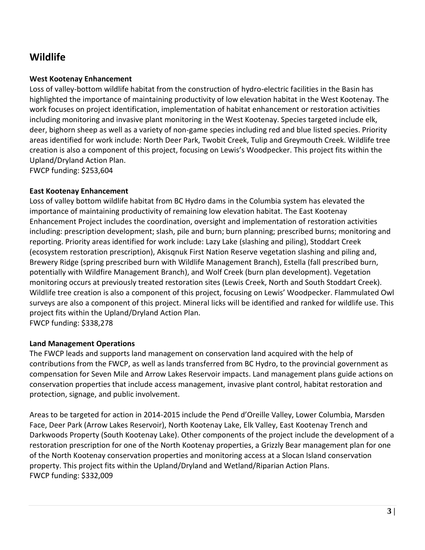# **Wildlife**

# **West Kootenay Enhancement**

Loss of valley-bottom wildlife habitat from the construction of hydro-electric facilities in the Basin has highlighted the importance of maintaining productivity of low elevation habitat in the West Kootenay. The work focuses on project identification, implementation of habitat enhancement or restoration activities including monitoring and invasive plant monitoring in the West Kootenay. Species targeted include elk, deer, bighorn sheep as well as a variety of non-game species including red and blue listed species. Priority areas identified for work include: North Deer Park, Twobit Creek, Tulip and Greymouth Creek. Wildlife tree creation is also a component of this project, focusing on Lewis's Woodpecker. This project fits within the Upland/Dryland Action Plan.

FWCP funding: \$253,604

## **East Kootenay Enhancement**

Loss of valley bottom wildlife habitat from BC Hydro dams in the Columbia system has elevated the importance of maintaining productivity of remaining low elevation habitat. The East Kootenay Enhancement Project includes the coordination, oversight and implementation of restoration activities including: prescription development; slash, pile and burn; burn planning; prescribed burns; monitoring and reporting. Priority areas identified for work include: Lazy Lake (slashing and piling), Stoddart Creek (ecosystem restoration prescription), Akisqnuk First Nation Reserve vegetation slashing and piling and, Brewery Ridge (spring prescribed burn with Wildlife Management Branch), Estella (fall prescribed burn, potentially with Wildfire Management Branch), and Wolf Creek (burn plan development). Vegetation monitoring occurs at previously treated restoration sites (Lewis Creek, North and South Stoddart Creek). Wildlife tree creation is also a component of this project, focusing on Lewis' Woodpecker. Flammulated Owl surveys are also a component of this project. Mineral licks will be identified and ranked for wildlife use. This project fits within the Upland/Dryland Action Plan.

FWCP funding: \$338,278

# **Land Management Operations**

The FWCP leads and supports land management on conservation land acquired with the help of contributions from the FWCP, as well as lands transferred from BC Hydro, to the provincial government as compensation for Seven Mile and Arrow Lakes Reservoir impacts. Land management plans guide actions on conservation properties that include access management, invasive plant control, habitat restoration and protection, signage, and public involvement.

Areas to be targeted for action in 2014-2015 include the Pend d'Oreille Valley, Lower Columbia, Marsden Face, Deer Park (Arrow Lakes Reservoir), North Kootenay Lake, Elk Valley, East Kootenay Trench and Darkwoods Property (South Kootenay Lake). Other components of the project include the development of a restoration prescription for one of the North Kootenay properties, a Grizzly Bear management plan for one of the North Kootenay conservation properties and monitoring access at a Slocan Island conservation property. This project fits within the Upland/Dryland and Wetland/Riparian Action Plans. FWCP funding: \$332,009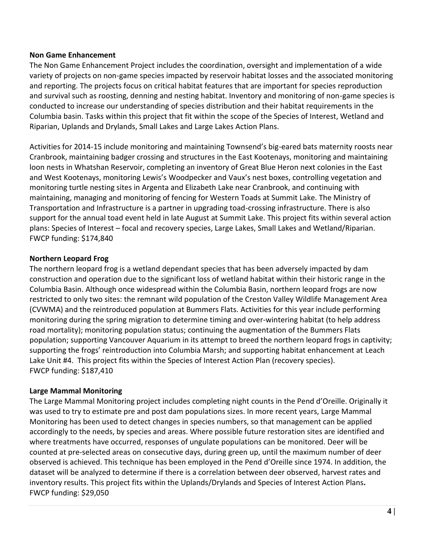#### **Non Game Enhancement**

The Non Game Enhancement Project includes the coordination, oversight and implementation of a wide variety of projects on non-game species impacted by reservoir habitat losses and the associated monitoring and reporting. The projects focus on critical habitat features that are important for species reproduction and survival such as roosting, denning and nesting habitat. Inventory and monitoring of non-game species is conducted to increase our understanding of species distribution and their habitat requirements in the Columbia basin. Tasks within this project that fit within the scope of the Species of Interest, Wetland and Riparian, Uplands and Drylands, Small Lakes and Large Lakes Action Plans.

Activities for 2014-15 include monitoring and maintaining Townsend's big-eared bats maternity roosts near Cranbrook, maintaining badger crossing and structures in the East Kootenays, monitoring and maintaining loon nests in Whatshan Reservoir, completing an inventory of Great Blue Heron next colonies in the East and West Kootenays, monitoring Lewis's Woodpecker and Vaux's nest boxes, controlling vegetation and monitoring turtle nesting sites in Argenta and Elizabeth Lake near Cranbrook, and continuing with maintaining, managing and monitoring of fencing for Western Toads at Summit Lake. The Ministry of Transportation and Infrastructure is a partner in upgrading toad-crossing infrastructure. There is also support for the annual toad event held in late August at Summit Lake. This project fits within several action plans: Species of Interest – focal and recovery species, Large Lakes, Small Lakes and Wetland/Riparian. FWCP funding: \$174,840

#### **Northern Leopard Frog**

The northern leopard frog is a wetland dependant species that has been adversely impacted by dam construction and operation due to the significant loss of wetland habitat within their historic range in the Columbia Basin. Although once widespread within the Columbia Basin, northern leopard frogs are now restricted to only two sites: the remnant wild population of the Creston Valley Wildlife Management Area (CVWMA) and the reintroduced population at Bummers Flats. Activities for this year include performing monitoring during the spring migration to determine timing and over-wintering habitat (to help address road mortality); monitoring population status; continuing the augmentation of the Bummers Flats population; supporting Vancouver Aquarium in its attempt to breed the northern leopard frogs in captivity; supporting the frogs' reintroduction into Columbia Marsh; and supporting habitat enhancement at Leach Lake Unit #4. This project fits within the Species of Interest Action Plan (recovery species). FWCP funding: \$187,410

#### **Large Mammal Monitoring**

The Large Mammal Monitoring project includes completing night counts in the Pend d'Oreille. Originally it was used to try to estimate pre and post dam populations sizes. In more recent years, Large Mammal Monitoring has been used to detect changes in species numbers, so that management can be applied accordingly to the needs, by species and areas. Where possible future restoration sites are identified and where treatments have occurred, responses of ungulate populations can be monitored. Deer will be counted at pre-selected areas on consecutive days, during green up, until the maximum number of deer observed is achieved. This technique has been employed in the Pend d'Oreille since 1974. In addition, the dataset will be analyzed to determine if there is a correlation between deer observed, harvest rates and inventory results. This project fits within the Uplands/Drylands and Species of Interest Action Plans**.** FWCP funding: \$29,050